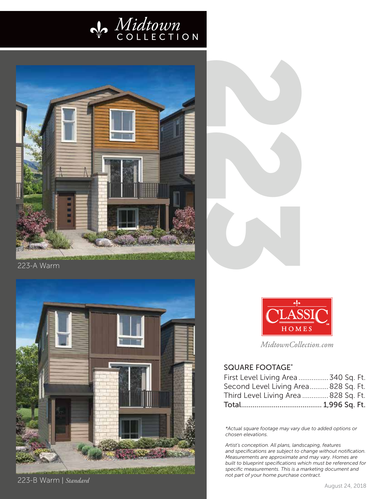



223-A Warm



223-B Warm | *Standard*





MidtownCollection.com

## SQUARE FOOTAGE \*

| First Level Living Area  340 Sq. Ft. |  |  |
|--------------------------------------|--|--|
| Second Level Living Area 828 Sq. Ft. |  |  |
| Third Level Living Area  828 Sq. Ft. |  |  |
|                                      |  |  |

*\*Actual square footage may vary due to added options or chosen elevations.*

*Artist's conception. All plans, landscaping, features and specifications are subject to change without notification. Measurements are approximate and may vary. Homes are built to blueprint specifications which must be referenced for specific measurements. This is a marketing document and not part of your home purchase contract.*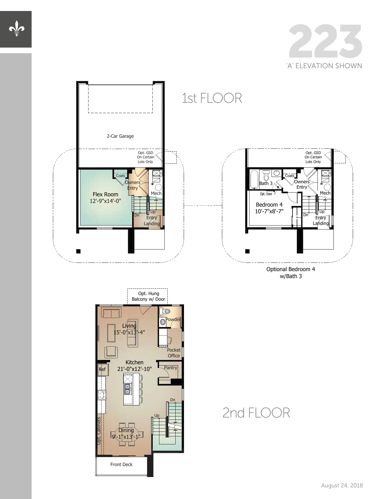



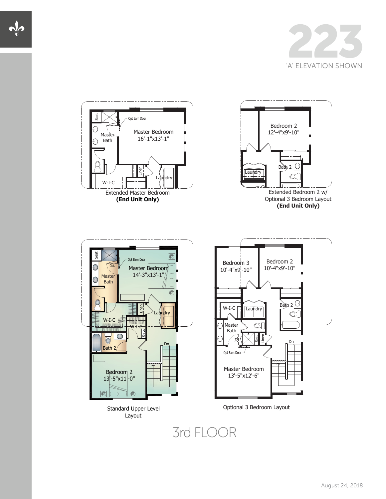



## 3rd FLOOR